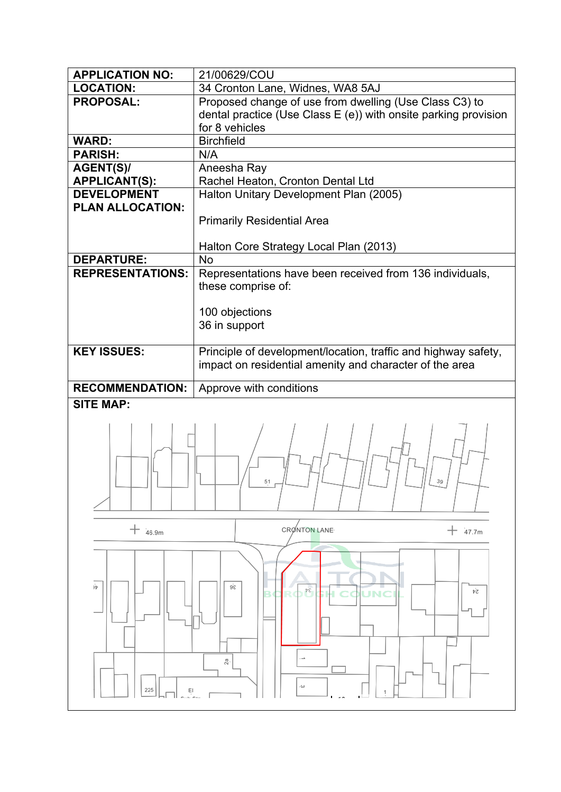| <b>APPLICATION NO:</b>                       | 21/00629/COU                                                          |
|----------------------------------------------|-----------------------------------------------------------------------|
| <b>LOCATION:</b>                             | 34 Cronton Lane, Widnes, WA8 5AJ                                      |
| <b>PROPOSAL:</b>                             | Proposed change of use from dwelling (Use Class C3) to                |
|                                              | dental practice (Use Class E (e)) with onsite parking provision       |
|                                              | for 8 vehicles                                                        |
| <b>WARD:</b>                                 | <b>Birchfield</b>                                                     |
| <b>PARISH:</b>                               | N/A                                                                   |
| <b>AGENT(S)/</b>                             | Aneesha Ray                                                           |
| <b>APPLICANT(S):</b>                         | Rachel Heaton, Cronton Dental Ltd                                     |
| <b>DEVELOPMENT</b>                           | Halton Unitary Development Plan (2005)                                |
| PLAN ALLOCATION:                             |                                                                       |
|                                              | <b>Primarily Residential Area</b>                                     |
|                                              |                                                                       |
|                                              | Halton Core Strategy Local Plan (2013)                                |
| <b>DEPARTURE:</b><br><b>REPRESENTATIONS:</b> | <b>No</b><br>Representations have been received from 136 individuals, |
|                                              | these comprise of:                                                    |
|                                              |                                                                       |
|                                              | 100 objections                                                        |
|                                              | 36 in support                                                         |
|                                              |                                                                       |
| <b>KEY ISSUES:</b>                           | Principle of development/location, traffic and highway safety,        |
|                                              | impact on residential amenity and character of the area               |
|                                              |                                                                       |
| <b>RECOMMENDATION:</b>                       | Approve with conditions                                               |
| <b>SITE MAP:</b>                             |                                                                       |
|                                              |                                                                       |
|                                              |                                                                       |
|                                              |                                                                       |
|                                              |                                                                       |
|                                              | 39<br>51                                                              |
|                                              |                                                                       |
|                                              |                                                                       |
|                                              |                                                                       |
| $+$ 46.9m                                    | <b>CRONTON LANE</b><br>$+$ 47.7m                                      |
|                                              |                                                                       |
|                                              |                                                                       |
|                                              |                                                                       |
| ١'n                                          | 98<br>Þε,<br>ÞΖ                                                       |
|                                              |                                                                       |
|                                              |                                                                       |
|                                              |                                                                       |
|                                              |                                                                       |
|                                              | 2ª                                                                    |
|                                              |                                                                       |
| 225<br>EI                                    | د )                                                                   |
|                                              |                                                                       |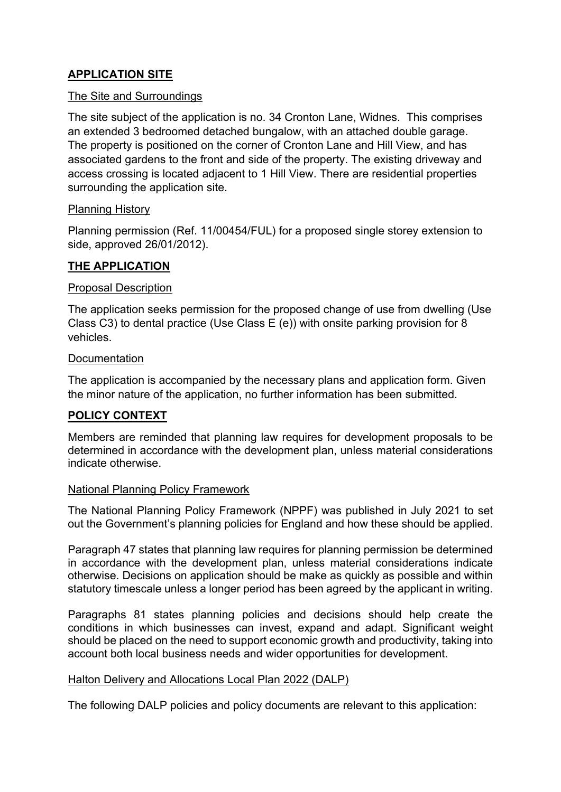## **APPLICATION SITE**

### The Site and Surroundings

The site subject of the application is no. 34 Cronton Lane, Widnes. This comprises an extended 3 bedroomed detached bungalow, with an attached double garage. The property is positioned on the corner of Cronton Lane and Hill View, and has associated gardens to the front and side of the property. The existing driveway and access crossing is located adjacent to 1 Hill View. There are residential properties surrounding the application site.

### Planning History

Planning permission (Ref. 11/00454/FUL) for a proposed single storey extension to side, approved 26/01/2012).

### **THE APPLICATION**

### Proposal Description

The application seeks permission for the proposed change of use from dwelling (Use Class C3) to dental practice (Use Class E (e)) with onsite parking provision for 8 vehicles.

### **Documentation**

The application is accompanied by the necessary plans and application form. Given the minor nature of the application, no further information has been submitted.

## **POLICY CONTEXT**

Members are reminded that planning law requires for development proposals to be determined in accordance with the development plan, unless material considerations indicate otherwise.

### National Planning Policy Framework

The National Planning Policy Framework (NPPF) was published in July 2021 to set out the Government's planning policies for England and how these should be applied.

Paragraph 47 states that planning law requires for planning permission be determined in accordance with the development plan, unless material considerations indicate otherwise. Decisions on application should be make as quickly as possible and within statutory timescale unless a longer period has been agreed by the applicant in writing.

Paragraphs 81 states planning policies and decisions should help create the conditions in which businesses can invest, expand and adapt. Significant weight should be placed on the need to support economic growth and productivity, taking into account both local business needs and wider opportunities for development.

### Halton Delivery and Allocations Local Plan 2022 (DALP)

The following DALP policies and policy documents are relevant to this application: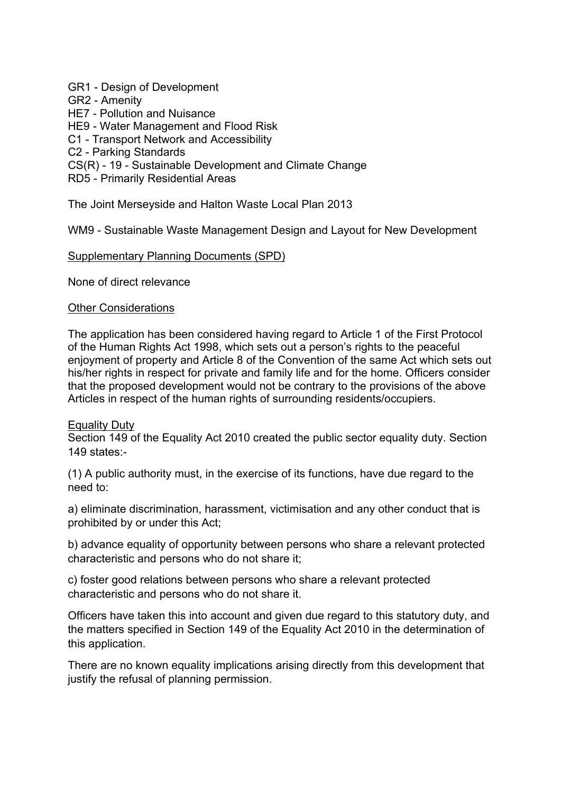### GR1 - Design of Development

GR2 - Amenity

HE7 - Pollution and Nuisance

HE9 - Water Management and Flood Risk

C1 - Transport Network and Accessibility

C2 - Parking Standards

CS(R) - 19 - Sustainable Development and Climate Change

RD5 - Primarily Residential Areas

The Joint Merseyside and Halton Waste Local Plan 2013

WM9 - Sustainable Waste Management Design and Layout for New Development

#### Supplementary Planning Documents (SPD)

None of direct relevance

#### Other Considerations

The application has been considered having regard to Article 1 of the First Protocol of the Human Rights Act 1998, which sets out a person's rights to the peaceful enjoyment of property and Article 8 of the Convention of the same Act which sets out his/her rights in respect for private and family life and for the home. Officers consider that the proposed development would not be contrary to the provisions of the above Articles in respect of the human rights of surrounding residents/occupiers.

### Equality Duty

Section 149 of the Equality Act 2010 created the public sector equality duty. Section 149 states:-

(1) A public authority must, in the exercise of its functions, have due regard to the need to:

a) eliminate discrimination, harassment, victimisation and any other conduct that is prohibited by or under this Act;

b) advance equality of opportunity between persons who share a relevant protected characteristic and persons who do not share it;

c) foster good relations between persons who share a relevant protected characteristic and persons who do not share it.

Officers have taken this into account and given due regard to this statutory duty, and the matters specified in Section 149 of the Equality Act 2010 in the determination of this application.

There are no known equality implications arising directly from this development that justify the refusal of planning permission.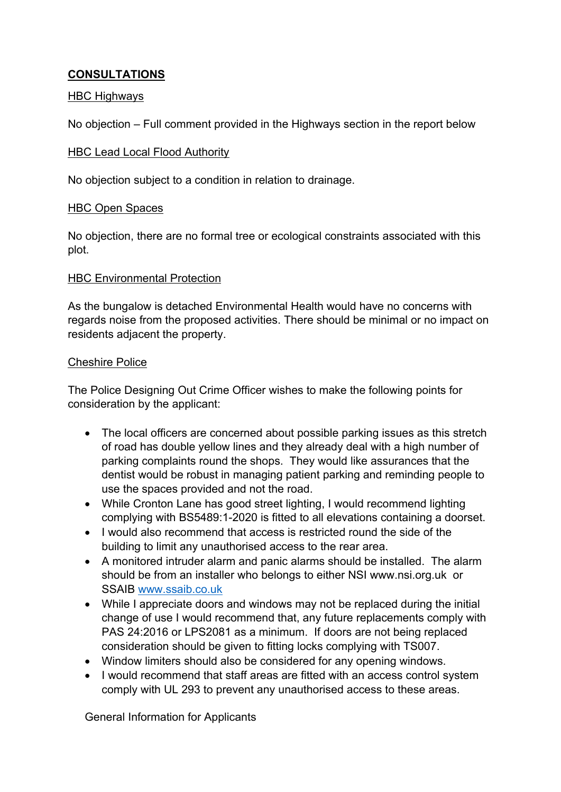## **CONSULTATIONS**

### **HBC Highways**

No objection – Full comment provided in the Highways section in the report below

### HBC Lead Local Flood Authority

No objection subject to a condition in relation to drainage.

### HBC Open Spaces

No objection, there are no formal tree or ecological constraints associated with this plot.

### HBC Environmental Protection

As the bungalow is detached Environmental Health would have no concerns with regards noise from the proposed activities. There should be minimal or no impact on residents adjacent the property.

### Cheshire Police

The Police Designing Out Crime Officer wishes to make the following points for consideration by the applicant:

- The local officers are concerned about possible parking issues as this stretch of road has double yellow lines and they already deal with a high number of parking complaints round the shops. They would like assurances that the dentist would be robust in managing patient parking and reminding people to use the spaces provided and not the road.
- While Cronton Lane has good street lighting, I would recommend lighting complying with BS5489:1-2020 is fitted to all elevations containing a doorset.
- I would also recommend that access is restricted round the side of the building to limit any unauthorised access to the rear area.
- A monitored intruder alarm and panic alarms should be installed. The alarm should be from an installer who belongs to either NSI www.nsi.org.uk or SSAIB [www.ssaib.co.uk](http://www.ssaib.co.uk/)
- While I appreciate doors and windows may not be replaced during the initial change of use I would recommend that, any future replacements comply with PAS 24:2016 or LPS2081 as a minimum. If doors are not being replaced consideration should be given to fitting locks complying with TS007.
- Window limiters should also be considered for any opening windows.
- I would recommend that staff areas are fitted with an access control system comply with UL 293 to prevent any unauthorised access to these areas.

General Information for Applicants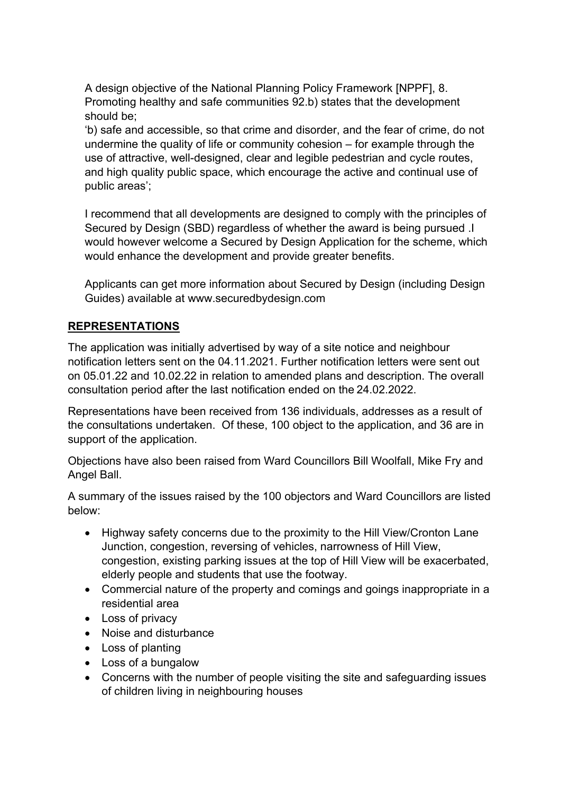A design objective of the National Planning Policy Framework [NPPF], 8. Promoting healthy and safe communities 92.b) states that the development should be;

'b) safe and accessible, so that crime and disorder, and the fear of crime, do not undermine the quality of life or community cohesion – for example through the use of attractive, well-designed, clear and legible pedestrian and cycle routes, and high quality public space, which encourage the active and continual use of public areas';

I recommend that all developments are designed to comply with the principles of Secured by Design (SBD) regardless of whether the award is being pursued .I would however welcome a Secured by Design Application for the scheme, which would enhance the development and provide greater benefits.

Applicants can get more information about Secured by Design (including Design Guides) available at www.securedbydesign.com

## **REPRESENTATIONS**

The application was initially advertised by way of a site notice and neighbour notification letters sent on the 04.11.2021. Further notification letters were sent out on 05.01.22 and 10.02.22 in relation to amended plans and description. The overall consultation period after the last notification ended on the 24.02.2022.

Representations have been received from 136 individuals, addresses as a result of the consultations undertaken. Of these, 100 object to the application, and 36 are in support of the application.

Objections have also been raised from Ward Councillors Bill Woolfall, Mike Fry and Angel Ball.

A summary of the issues raised by the 100 objectors and Ward Councillors are listed below:

- Highway safety concerns due to the proximity to the Hill View/Cronton Lane Junction, congestion, reversing of vehicles, narrowness of Hill View, congestion, existing parking issues at the top of Hill View will be exacerbated, elderly people and students that use the footway.
- Commercial nature of the property and comings and goings inappropriate in a residential area
- Loss of privacy
- Noise and disturbance
- Loss of planting
- Loss of a bungalow
- Concerns with the number of people visiting the site and safeguarding issues of children living in neighbouring houses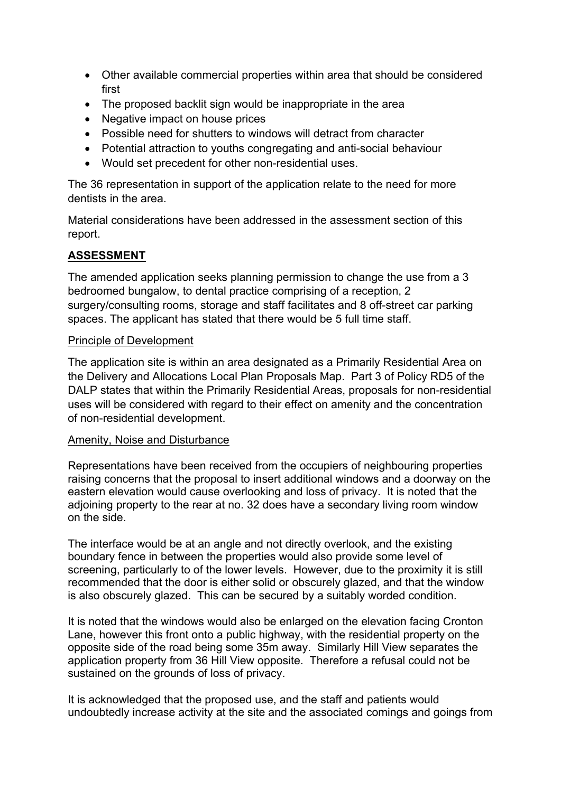- Other available commercial properties within area that should be considered first
- The proposed backlit sign would be inappropriate in the area
- Negative impact on house prices
- Possible need for shutters to windows will detract from character
- Potential attraction to youths congregating and anti-social behaviour
- Would set precedent for other non-residential uses.

The 36 representation in support of the application relate to the need for more dentists in the area.

Material considerations have been addressed in the assessment section of this report.

## **ASSESSMENT**

The amended application seeks planning permission to change the use from a 3 bedroomed bungalow, to dental practice comprising of a reception, 2 surgery/consulting rooms, storage and staff facilitates and 8 off-street car parking spaces. The applicant has stated that there would be 5 full time staff.

### Principle of Development

The application site is within an area designated as a Primarily Residential Area on the Delivery and Allocations Local Plan Proposals Map. Part 3 of Policy RD5 of the DALP states that within the Primarily Residential Areas, proposals for non-residential uses will be considered with regard to their effect on amenity and the concentration of non-residential development.

### Amenity, Noise and Disturbance

Representations have been received from the occupiers of neighbouring properties raising concerns that the proposal to insert additional windows and a doorway on the eastern elevation would cause overlooking and loss of privacy. It is noted that the adjoining property to the rear at no. 32 does have a secondary living room window on the side.

The interface would be at an angle and not directly overlook, and the existing boundary fence in between the properties would also provide some level of screening, particularly to of the lower levels. However, due to the proximity it is still recommended that the door is either solid or obscurely glazed, and that the window is also obscurely glazed. This can be secured by a suitably worded condition.

It is noted that the windows would also be enlarged on the elevation facing Cronton Lane, however this front onto a public highway, with the residential property on the opposite side of the road being some 35m away. Similarly Hill View separates the application property from 36 Hill View opposite. Therefore a refusal could not be sustained on the grounds of loss of privacy.

It is acknowledged that the proposed use, and the staff and patients would undoubtedly increase activity at the site and the associated comings and goings from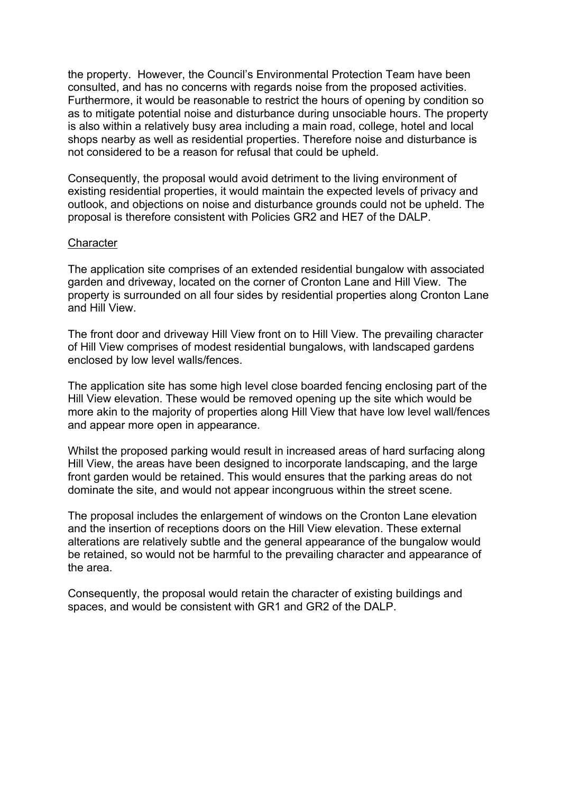the property. However, the Council's Environmental Protection Team have been consulted, and has no concerns with regards noise from the proposed activities. Furthermore, it would be reasonable to restrict the hours of opening by condition so as to mitigate potential noise and disturbance during unsociable hours. The property is also within a relatively busy area including a main road, college, hotel and local shops nearby as well as residential properties. Therefore noise and disturbance is not considered to be a reason for refusal that could be upheld.

Consequently, the proposal would avoid detriment to the living environment of existing residential properties, it would maintain the expected levels of privacy and outlook, and objections on noise and disturbance grounds could not be upheld. The proposal is therefore consistent with Policies GR2 and HE7 of the DALP.

#### **Character**

The application site comprises of an extended residential bungalow with associated garden and driveway, located on the corner of Cronton Lane and Hill View. The property is surrounded on all four sides by residential properties along Cronton Lane and Hill View.

The front door and driveway Hill View front on to Hill View. The prevailing character of Hill View comprises of modest residential bungalows, with landscaped gardens enclosed by low level walls/fences.

The application site has some high level close boarded fencing enclosing part of the Hill View elevation. These would be removed opening up the site which would be more akin to the majority of properties along Hill View that have low level wall/fences and appear more open in appearance.

Whilst the proposed parking would result in increased areas of hard surfacing along Hill View, the areas have been designed to incorporate landscaping, and the large front garden would be retained. This would ensures that the parking areas do not dominate the site, and would not appear incongruous within the street scene.

The proposal includes the enlargement of windows on the Cronton Lane elevation and the insertion of receptions doors on the Hill View elevation. These external alterations are relatively subtle and the general appearance of the bungalow would be retained, so would not be harmful to the prevailing character and appearance of the area.

Consequently, the proposal would retain the character of existing buildings and spaces, and would be consistent with GR1 and GR2 of the DALP.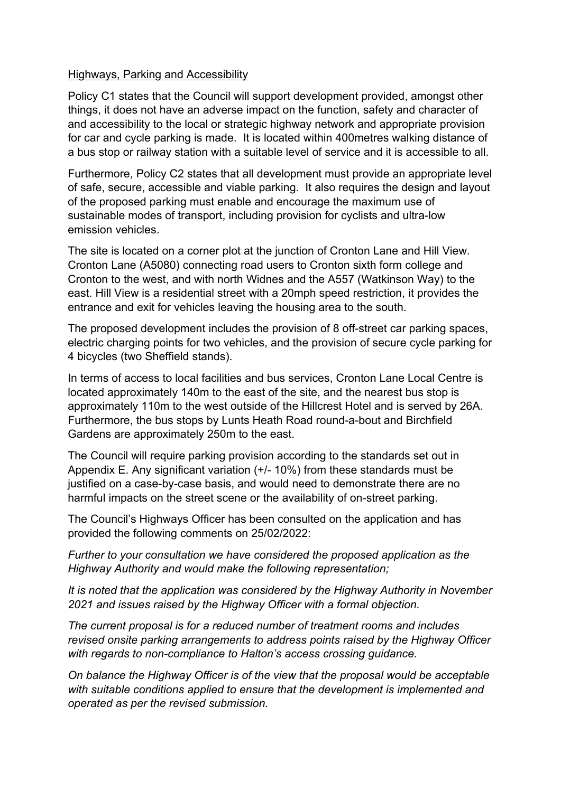#### Highways, Parking and Accessibility

Policy C1 states that the Council will support development provided, amongst other things, it does not have an adverse impact on the function, safety and character of and accessibility to the local or strategic highway network and appropriate provision for car and cycle parking is made. It is located within 400metres walking distance of a bus stop or railway station with a suitable level of service and it is accessible to all.

Furthermore, Policy C2 states that all development must provide an appropriate level of safe, secure, accessible and viable parking. It also requires the design and layout of the proposed parking must enable and encourage the maximum use of sustainable modes of transport, including provision for cyclists and ultra-low emission vehicles.

The site is located on a corner plot at the junction of Cronton Lane and Hill View. Cronton Lane (A5080) connecting road users to Cronton sixth form college and Cronton to the west, and with north Widnes and the A557 (Watkinson Way) to the east. Hill View is a residential street with a 20mph speed restriction, it provides the entrance and exit for vehicles leaving the housing area to the south.

The proposed development includes the provision of 8 off-street car parking spaces, electric charging points for two vehicles, and the provision of secure cycle parking for 4 bicycles (two Sheffield stands).

In terms of access to local facilities and bus services, Cronton Lane Local Centre is located approximately 140m to the east of the site, and the nearest bus stop is approximately 110m to the west outside of the Hillcrest Hotel and is served by 26A. Furthermore, the bus stops by Lunts Heath Road round-a-bout and Birchfield Gardens are approximately 250m to the east.

The Council will require parking provision according to the standards set out in Appendix E. Any significant variation (+/- 10%) from these standards must be justified on a case-by-case basis, and would need to demonstrate there are no harmful impacts on the street scene or the availability of on-street parking.

The Council's Highways Officer has been consulted on the application and has provided the following comments on 25/02/2022:

*Further to your consultation we have considered the proposed application as the Highway Authority and would make the following representation;*

*It is noted that the application was considered by the Highway Authority in November 2021 and issues raised by the Highway Officer with a formal objection.*

*The current proposal is for a reduced number of treatment rooms and includes revised onsite parking arrangements to address points raised by the Highway Officer with regards to non-compliance to Halton's access crossing guidance.*

*On balance the Highway Officer is of the view that the proposal would be acceptable with suitable conditions applied to ensure that the development is implemented and operated as per the revised submission.*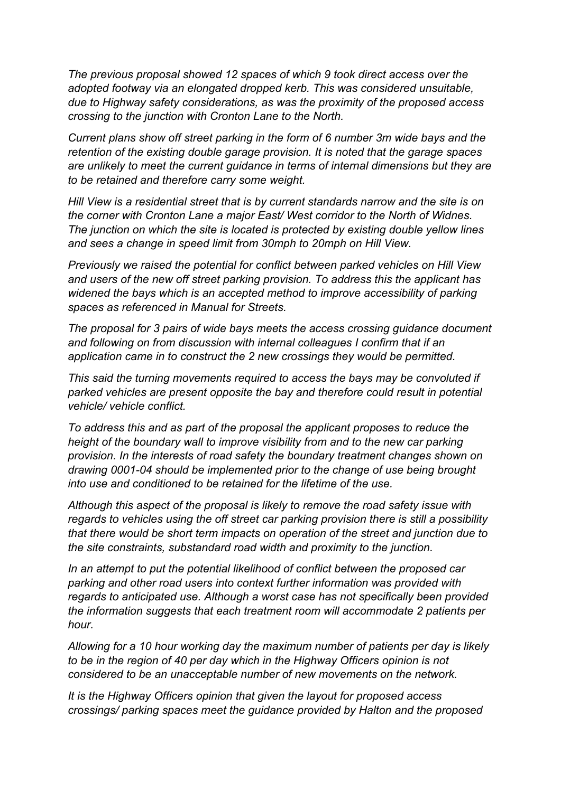*The previous proposal showed 12 spaces of which 9 took direct access over the adopted footway via an elongated dropped kerb. This was considered unsuitable, due to Highway safety considerations, as was the proximity of the proposed access crossing to the junction with Cronton Lane to the North.*

*Current plans show off street parking in the form of 6 number 3m wide bays and the retention of the existing double garage provision. It is noted that the garage spaces are unlikely to meet the current guidance in terms of internal dimensions but they are to be retained and therefore carry some weight.*

*Hill View is a residential street that is by current standards narrow and the site is on the corner with Cronton Lane a major East/ West corridor to the North of Widnes. The junction on which the site is located is protected by existing double yellow lines and sees a change in speed limit from 30mph to 20mph on Hill View.*

*Previously we raised the potential for conflict between parked vehicles on Hill View and users of the new off street parking provision. To address this the applicant has widened the bays which is an accepted method to improve accessibility of parking spaces as referenced in Manual for Streets.*

*The proposal for 3 pairs of wide bays meets the access crossing guidance document and following on from discussion with internal colleagues I confirm that if an application came in to construct the 2 new crossings they would be permitted.*

*This said the turning movements required to access the bays may be convoluted if parked vehicles are present opposite the bay and therefore could result in potential vehicle/ vehicle conflict.*

*To address this and as part of the proposal the applicant proposes to reduce the height of the boundary wall to improve visibility from and to the new car parking provision. In the interests of road safety the boundary treatment changes shown on drawing 0001-04 should be implemented prior to the change of use being brought into use and conditioned to be retained for the lifetime of the use.*

*Although this aspect of the proposal is likely to remove the road safety issue with regards to vehicles using the off street car parking provision there is still a possibility that there would be short term impacts on operation of the street and junction due to the site constraints, substandard road width and proximity to the junction.*

*In an attempt to put the potential likelihood of conflict between the proposed car parking and other road users into context further information was provided with regards to anticipated use. Although a worst case has not specifically been provided the information suggests that each treatment room will accommodate 2 patients per hour.*

*Allowing for a 10 hour working day the maximum number of patients per day is likely to be in the region of 40 per day which in the Highway Officers opinion is not considered to be an unacceptable number of new movements on the network.*

*It is the Highway Officers opinion that given the layout for proposed access crossings/ parking spaces meet the guidance provided by Halton and the proposed*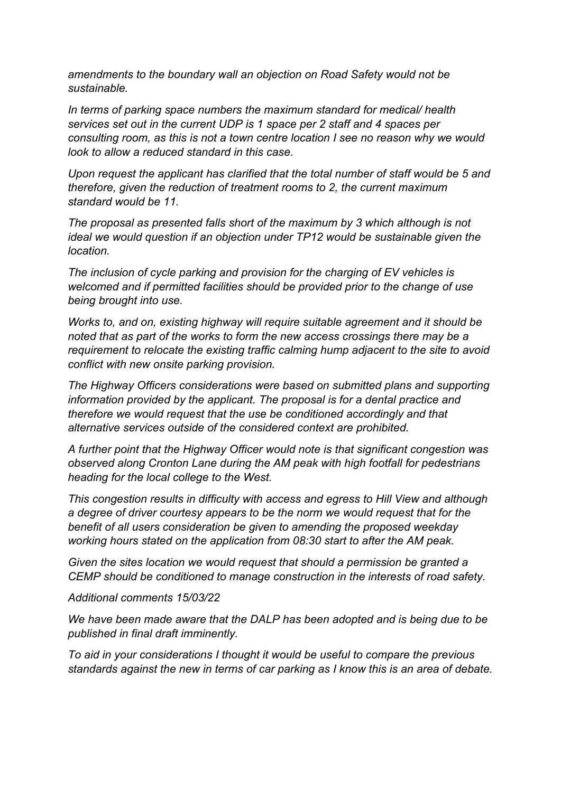*amendments to the boundary wall an objection on Road Safety would not be sustainable.*

*In terms of parking space numbers the maximum standard for medical/ health services set out in the current UDP is 1 space per 2 staff and 4 spaces per consulting room, as this is not a town centre location I see no reason why we would look to allow a reduced standard in this case.*

*Upon request the applicant has clarified that the total number of staff would be 5 and therefore, given the reduction of treatment rooms to 2, the current maximum standard would be 11.*

*The proposal as presented falls short of the maximum by 3 which although is not ideal we would question if an objection under TP12 would be sustainable given the location.*

*The inclusion of cycle parking and provision for the charging of EV vehicles is welcomed and if permitted facilities should be provided prior to the change of use being brought into use.*

*Works to, and on, existing highway will require suitable agreement and it should be noted that as part of the works to form the new access crossings there may be a requirement to relocate the existing traffic calming hump adjacent to the site to avoid conflict with new onsite parking provision.*

*The Highway Officers considerations were based on submitted plans and supporting information provided by the applicant. The proposal is for a dental practice and therefore we would request that the use be conditioned accordingly and that alternative services outside of the considered context are prohibited.*

*A further point that the Highway Officer would note is that significant congestion was observed along Cronton Lane during the AM peak with high footfall for pedestrians heading for the local college to the West.*

*This congestion results in difficulty with access and egress to Hill View and although a degree of driver courtesy appears to be the norm we would request that for the benefit of all users consideration be given to amending the proposed weekday working hours stated on the application from 08:30 start to after the AM peak.*

*Given the sites location we would request that should a permission be granted a CEMP should be conditioned to manage construction in the interests of road safety.*

*Additional comments 15/03/22*

*We have been made aware that the DALP has been adopted and is being due to be published in final draft imminently.*

*To aid in your considerations I thought it would be useful to compare the previous standards against the new in terms of car parking as I know this is an area of debate.*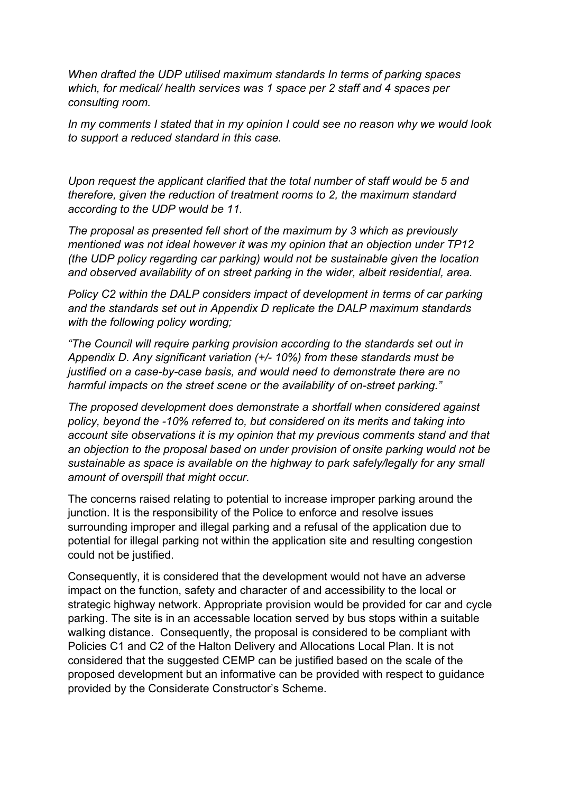*When drafted the UDP utilised maximum standards In terms of parking spaces which, for medical/ health services was 1 space per 2 staff and 4 spaces per consulting room.*

*In my comments I stated that in my opinion I could see no reason why we would look to support a reduced standard in this case.*

*Upon request the applicant clarified that the total number of staff would be 5 and therefore, given the reduction of treatment rooms to 2, the maximum standard according to the UDP would be 11.*

*The proposal as presented fell short of the maximum by 3 which as previously mentioned was not ideal however it was my opinion that an objection under TP12 (the UDP policy regarding car parking) would not be sustainable given the location and observed availability of on street parking in the wider, albeit residential, area.*

*Policy C2 within the DALP considers impact of development in terms of car parking and the standards set out in Appendix D replicate the DALP maximum standards with the following policy wording;*

*"The Council will require parking provision according to the standards set out in Appendix D. Any significant variation (+/- 10%) from these standards must be justified on a case-by-case basis, and would need to demonstrate there are no harmful impacts on the street scene or the availability of on-street parking."*

*The proposed development does demonstrate a shortfall when considered against policy, beyond the -10% referred to, but considered on its merits and taking into account site observations it is my opinion that my previous comments stand and that an objection to the proposal based on under provision of onsite parking would not be sustainable as space is available on the highway to park safely/legally for any small amount of overspill that might occur.*

The concerns raised relating to potential to increase improper parking around the junction. It is the responsibility of the Police to enforce and resolve issues surrounding improper and illegal parking and a refusal of the application due to potential for illegal parking not within the application site and resulting congestion could not be justified.

Consequently, it is considered that the development would not have an adverse impact on the function, safety and character of and accessibility to the local or strategic highway network. Appropriate provision would be provided for car and cycle parking. The site is in an accessable location served by bus stops within a suitable walking distance. Consequently, the proposal is considered to be compliant with Policies C1 and C2 of the Halton Delivery and Allocations Local Plan. It is not considered that the suggested CEMP can be justified based on the scale of the proposed development but an informative can be provided with respect to guidance provided by the Considerate Constructor's Scheme.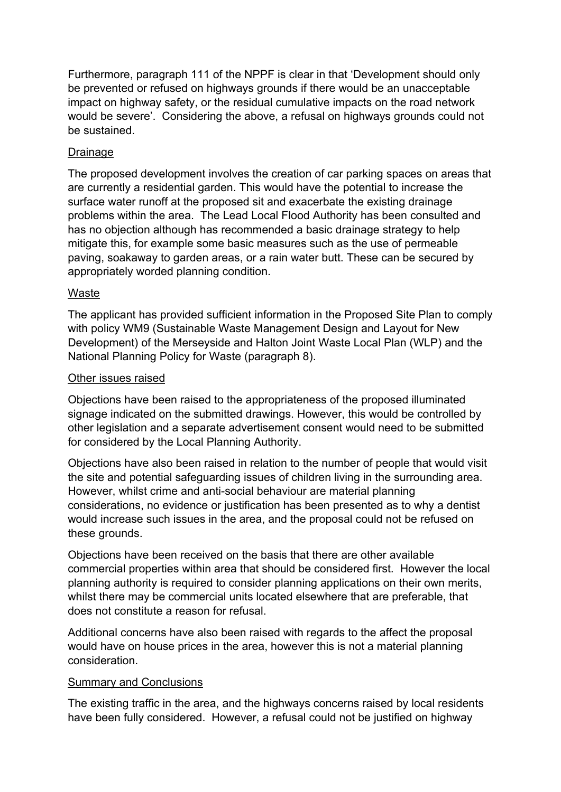Furthermore, paragraph 111 of the NPPF is clear in that 'Development should only be prevented or refused on highways grounds if there would be an unacceptable impact on highway safety, or the residual cumulative impacts on the road network would be severe'. Considering the above, a refusal on highways grounds could not be sustained.

## Drainage

The proposed development involves the creation of car parking spaces on areas that are currently a residential garden. This would have the potential to increase the surface water runoff at the proposed sit and exacerbate the existing drainage problems within the area. The Lead Local Flood Authority has been consulted and has no objection although has recommended a basic drainage strategy to help mitigate this, for example some basic measures such as the use of permeable paving, soakaway to garden areas, or a rain water butt. These can be secured by appropriately worded planning condition.

## Waste

The applicant has provided sufficient information in the Proposed Site Plan to comply with policy WM9 (Sustainable Waste Management Design and Layout for New Development) of the Merseyside and Halton Joint Waste Local Plan (WLP) and the National Planning Policy for Waste (paragraph 8).

## Other issues raised

Objections have been raised to the appropriateness of the proposed illuminated signage indicated on the submitted drawings. However, this would be controlled by other legislation and a separate advertisement consent would need to be submitted for considered by the Local Planning Authority.

Objections have also been raised in relation to the number of people that would visit the site and potential safeguarding issues of children living in the surrounding area. However, whilst crime and anti-social behaviour are material planning considerations, no evidence or justification has been presented as to why a dentist would increase such issues in the area, and the proposal could not be refused on these grounds.

Objections have been received on the basis that there are other available commercial properties within area that should be considered first. However the local planning authority is required to consider planning applications on their own merits, whilst there may be commercial units located elsewhere that are preferable, that does not constitute a reason for refusal.

Additional concerns have also been raised with regards to the affect the proposal would have on house prices in the area, however this is not a material planning consideration.

## Summary and Conclusions

The existing traffic in the area, and the highways concerns raised by local residents have been fully considered. However, a refusal could not be justified on highway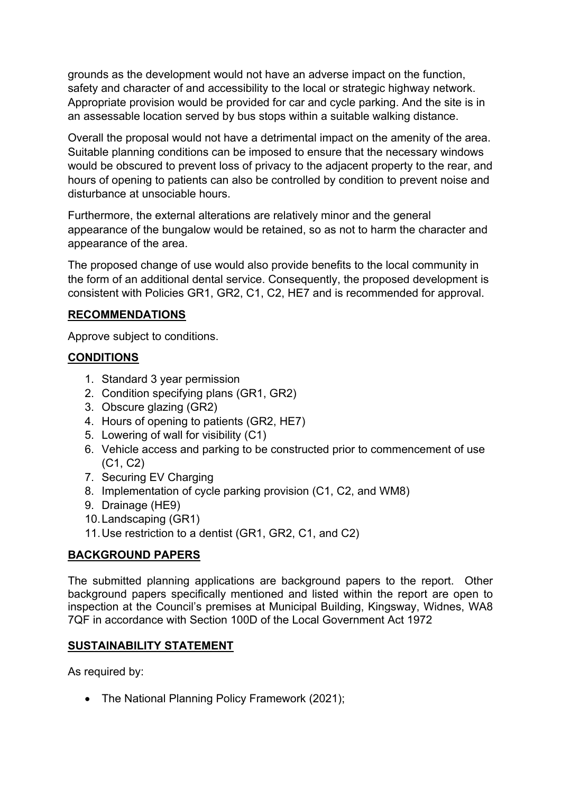grounds as the development would not have an adverse impact on the function, safety and character of and accessibility to the local or strategic highway network. Appropriate provision would be provided for car and cycle parking. And the site is in an assessable location served by bus stops within a suitable walking distance.

Overall the proposal would not have a detrimental impact on the amenity of the area. Suitable planning conditions can be imposed to ensure that the necessary windows would be obscured to prevent loss of privacy to the adjacent property to the rear, and hours of opening to patients can also be controlled by condition to prevent noise and disturbance at unsociable hours.

Furthermore, the external alterations are relatively minor and the general appearance of the bungalow would be retained, so as not to harm the character and appearance of the area.

The proposed change of use would also provide benefits to the local community in the form of an additional dental service. Consequently, the proposed development is consistent with Policies GR1, GR2, C1, C2, HE7 and is recommended for approval.

### **RECOMMENDATIONS**

Approve subject to conditions.

## **CONDITIONS**

- 1. Standard 3 year permission
- 2. Condition specifying plans (GR1, GR2)
- 3. Obscure glazing (GR2)
- 4. Hours of opening to patients (GR2, HE7)
- 5. Lowering of wall for visibility (C1)
- 6. Vehicle access and parking to be constructed prior to commencement of use (C1, C2)
- 7. Securing EV Charging
- 8. Implementation of cycle parking provision (C1, C2, and WM8)
- 9. Drainage (HE9)
- 10.Landscaping (GR1)
- 11.Use restriction to a dentist (GR1, GR2, C1, and C2)

# **BACKGROUND PAPERS**

The submitted planning applications are background papers to the report. Other background papers specifically mentioned and listed within the report are open to inspection at the Council's premises at Municipal Building, Kingsway, Widnes, WA8 7QF in accordance with Section 100D of the Local Government Act 1972

## **SUSTAINABILITY STATEMENT**

As required by:

• The National Planning Policy Framework (2021);